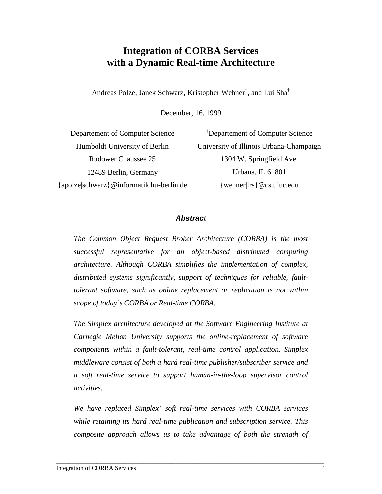# **Integration of CORBA Services with a Dynamic Real-time Architecture**

Andreas Polze, Janek Schwarz, Kristopher Wehner‡ , and Lui Sha‡

December, 16, 1999

| Departement of Computer Science          | <sup>‡</sup> Departement of Computer Science |
|------------------------------------------|----------------------------------------------|
| Humboldt University of Berlin            | University of Illinois Urbana-Champaign      |
| <b>Rudower Chaussee 25</b>               | 1304 W. Springfield Ave.                     |
| 12489 Berlin, Germany                    | Urbana, IL 61801                             |
| {apolze schwarz}@informatik.hu-berlin.de | {wehner lrs} $@$ cs.uiuc.edu                 |

#### *Abstract*

*The Common Object Request Broker Architecture (CORBA) is the most successful representative for an object-based distributed computing architecture. Although CORBA simplifies the implementation of complex, distributed systems significantly, support of techniques for reliable, faulttolerant software, such as online replacement or replication is not within scope of today's CORBA or Real-time CORBA.*

*The Simplex architecture developed at the Software Engineering Institute at Carnegie Mellon University supports the online-replacement of software components within a fault-tolerant, real-time control application. Simplex middleware consist of both a hard real-time publisher/subscriber service and a soft real-time service to support human-in-the-loop supervisor control activities.*

*We have replaced Simplex' soft real-time services with CORBA services while retaining its hard real-time publication and subscription service. This composite approach allows us to take advantage of both the strength of*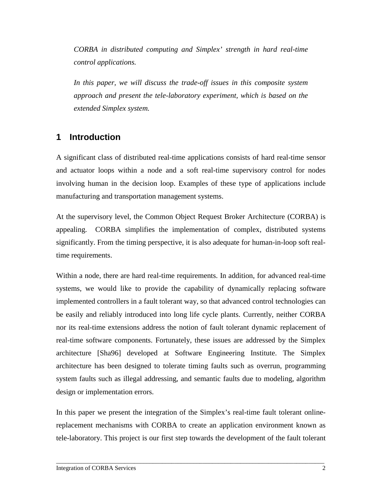*CORBA in distributed computing and Simplex' strength in hard real-time control applications.*

*In this paper, we will discuss the trade-off issues in this composite system approach and present the tele-laboratory experiment, which is based on the extended Simplex system.*

### **1 Introduction**

A significant class of distributed real-time applications consists of hard real-time sensor and actuator loops within a node and a soft real-time supervisory control for nodes involving human in the decision loop. Examples of these type of applications include manufacturing and transportation management systems.

At the supervisory level, the Common Object Request Broker Architecture (CORBA) is appealing. CORBA simplifies the implementation of complex, distributed systems significantly. From the timing perspective, it is also adequate for human-in-loop soft realtime requirements.

Within a node, there are hard real-time requirements. In addition, for advanced real-time systems, we would like to provide the capability of dynamically replacing software implemented controllers in a fault tolerant way, so that advanced control technologies can be easily and reliably introduced into long life cycle plants. Currently, neither CORBA nor its real-time extensions address the notion of fault tolerant dynamic replacement of real-time software components. Fortunately, these issues are addressed by the Simplex architecture [Sha96] developed at Software Engineering Institute. The Simplex architecture has been designed to tolerate timing faults such as overrun, programming system faults such as illegal addressing, and semantic faults due to modeling, algorithm design or implementation errors.

In this paper we present the integration of the Simplex's real-time fault tolerant onlinereplacement mechanisms with CORBA to create an application environment known as tele-laboratory. This project is our first step towards the development of the fault tolerant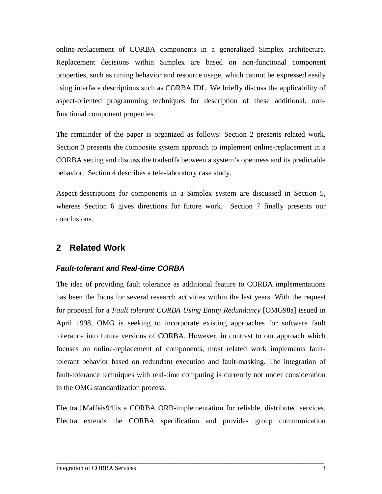online-replacement of CORBA components in a generalized Simplex architecture. Replacement decisions within Simplex are based on non-functional component properties, such as timing behavior and resource usage, which cannot be expressed easily using interface descriptions such as CORBA IDL. We briefly discuss the applicability of aspect-oriented programming techniques for description of these additional, nonfunctional component properties.

The remainder of the paper is organized as follows: Section 2 presents related work. Section 3 presents the composite system approach to implement online-replacement in a CORBA setting and discuss the tradeoffs between a system's openness and its predictable behavior. Section 4 describes a tele-laboratory case study.

Aspect-descriptions for components in a Simplex system are discussed in Section 5, whereas Section 6 gives directions for future work. Section 7 finally presents our conclusions.

## **2 Related Work**

#### *Fault-tolerant and Real-time CORBA*

The idea of providing fault tolerance as additional feature to CORBA implementations has been the focus for several research activities within the last years. With the request for proposal for a *Fault tolerant CORBA Using Entity Redundancy* [\[OMG98a\]](#page-16-0) issued in April 1998, OMG is seeking to incorporate existing approaches for software fault tolerance into future versions of CORBA. However, in contrast to our approach which focuses on online-replacement of components, most related work implements faulttolerant behavior based on redundant execution and fault-masking. The integration of fault-tolerance techniques with real-time computing is currently not under consideration in the OMG standardization process.

Electra [\[Maffeis94\]i](#page-16-0)s a CORBA ORB-implementation for reliable, distributed services. Electra extends the CORBA specification and provides group communication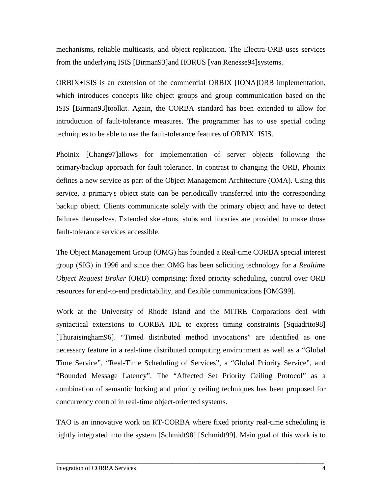mechanisms, reliable multicasts, and object replication. The Electra-ORB uses services from the underlying ISIS [\[Birman93\]a](#page-16-0)nd HORUS [\[van Renesse94\]s](#page-17-0)ystems.

ORBIX+ISIS is an extension of the commercial ORBIX [\[IONA\]](#page-16-0)ORB implementation, which introduces concepts like object groups and group communication based on the ISIS [\[Birman93\]t](#page-16-0)oolkit. Again, the CORBA standard has been extended to allow for introduction of fault-tolerance measures. The programmer has to use special coding techniques to be able to use the fault-tolerance features of ORBIX+ISIS.

Phoinix [\[Chang97\]a](#page-16-0)llows for implementation of server objects following the primary/backup approach for fault tolerance. In contrast to changing the ORB, Phoinix defines a new service as part of the Object Management Architecture (OMA). Using this service, a primary's object state can be periodically transferred into the corresponding backup object. Clients communicate solely with the primary object and have to detect failures themselves. Extended skeletons, stubs and libraries are provided to make those fault-tolerance services accessible.

The Object Management Group (OMG) has founded a Real-time CORBA special interest group (SIG) in 1996 and since then OMG has been soliciting technology for a *Realtime Object Request Broker* (ORB) comprising: fixed priority scheduling, control over ORB resources for end-to-end predictability, and flexible communications [\[OMG99\].](#page-16-0)

Work at the University of Rhode Island and the MITRE Corporations deal with syntactical extensions to CORBA IDL to express timing constraints [\[Squadrito98\]](#page-17-0) [\[Thuraisingham96\].](#page-18-0) "Timed distributed method invocations" are identified as one necessary feature in a real-time distributed computing environment as well as a "Global Time Service", "Real-Time Scheduling of Services", a "Global Priority Service", and "Bounded Message Latency". The "Affected Set Priority Ceiling Protocol" as a combination of semantic locking and priority ceiling techniques has been proposed for concurrency control in real-time object-oriented systems.

TAO is an innovative work on RT-CORBA where fixed priority real-time scheduling is tightly integrated into the system [\[Schmidt98\] \[Schmidt99\]](#page-17-0). Main goal of this work is to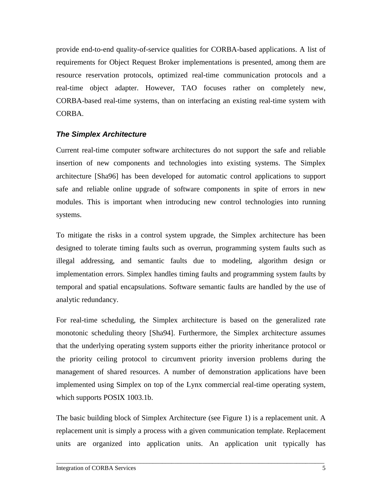provide end-to-end quality-of-service qualities for CORBA-based applications. A list of requirements for Object Request Broker implementations is presented, among them are resource reservation protocols, optimized real-time communication protocols and a real-time object adapter. However, TAO focuses rather on completely new, CORBA-based real-time systems, than on interfacing an existing real-time system with CORBA.

#### *The Simplex Architecture*

Current real-time computer software architectures do not support the safe and reliable insertion of new components and technologies into existing systems. The Simplex architecture [\[Sha96\]](#page-17-0) has been developed for automatic control applications to support safe and reliable online upgrade of software components in spite of errors in new modules. This is important when introducing new control technologies into running systems.

To mitigate the risks in a control system upgrade, the Simplex architecture has been designed to tolerate timing faults such as overrun, programming system faults such as illegal addressing, and semantic faults due to modeling, algorithm design or implementation errors. Simplex handles timing faults and programming system faults by temporal and spatial encapsulations. Software semantic faults are handled by the use of analytic redundancy.

For real-time scheduling, the Simplex architecture is based on the generalized rate monotonic scheduling theory [Sha94]. Furthermore, the Simplex architecture assumes that the underlying operating system supports either the priority inheritance protocol or the priority ceiling protocol to circumvent priority inversion problems during the management of shared resources. A number of demonstration applications have been implemented using Simplex on top of the Lynx commercial real-time operating system, which supports POSIX 1003.1b.

The basic building block of Simplex Architecture (see [Figure 1](#page-5-0)) is a replacement unit. A replacement unit is simply a process with a given communication template. Replacement units are organized into application units. An application unit typically has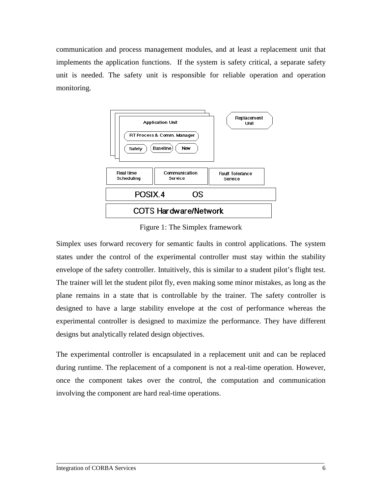<span id="page-5-0"></span>communication and process management modules, and at least a replacement unit that implements the application functions. If the system is safety critical, a separate safety unit is needed. The safety unit is responsible for reliable operation and operation monitoring.



Figure 1: The Simplex framework

Simplex uses forward recovery for semantic faults in control applications. The system states under the control of the experimental controller must stay within the stability envelope of the safety controller. Intuitively, this is similar to a student pilot's flight test. The trainer will let the student pilot fly, even making some minor mistakes, as long as the plane remains in a state that is controllable by the trainer. The safety controller is designed to have a large stability envelope at the cost of performance whereas the experimental controller is designed to maximize the performance. They have different designs but analytically related design objectives.

The experimental controller is encapsulated in a replacement unit and can be replaced during runtime. The replacement of a component is not a real-time operation. However, once the component takes over the control, the computation and communication involving the component are hard real-time operations.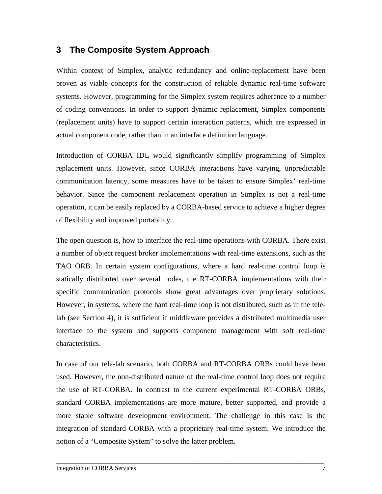## **3 The Composite System Approach**

Within context of Simplex, analytic redundancy and online-replacement have been proven as viable concepts for the construction of reliable dynamic real-time software systems. However, programming for the Simplex system requires adherence to a number of coding conventions. In order to support dynamic replacement, Simplex components (replacement units) have to support certain interaction patterns, which are expressed in actual component code, rather than in an interface definition language.

Introduction of CORBA IDL would significantly simplify programming of Simplex replacement units. However, since CORBA interactions have varying, unpredictable communication latency, some measures have to be taken to ensure Simplex' real-time behavior. Since the component replacement operation in Simplex is not a real-time operation, it can be easily replaced by a CORBA-based service to achieve a higher degree of flexibility and improved portability.

The open question is, how to interface the real-time operations with CORBA. There exist a number of object request broker implementations with real-time extensions, such as the TAO ORB. In certain system configurations, where a hard real-time control loop is statically distributed over several nodes, the RT-CORBA implementations with their specific communication protocols show great advantages over proprietary solutions. However, in systems, where the hard real-time loop is not distributed, such as in the telelab (see Section [4\)](#page-9-0), it is sufficient if middleware provides a distributed multimedia user interface to the system and supports component management with soft real-time characteristics.

In case of our tele-lab scenario, both CORBA and RT-CORBA ORBs could have been used. However, the non-distributed nature of the real-time control loop does not require the use of RT-CORBA. In contrast to the current experimental RT-CORBA ORBs, standard CORBA implementations are more mature, better supported, and provide a more stable software development environment. The challenge in this case is the integration of standard CORBA with a proprietary real-time system. We introduce the notion of a "Composite System" to solve the latter problem.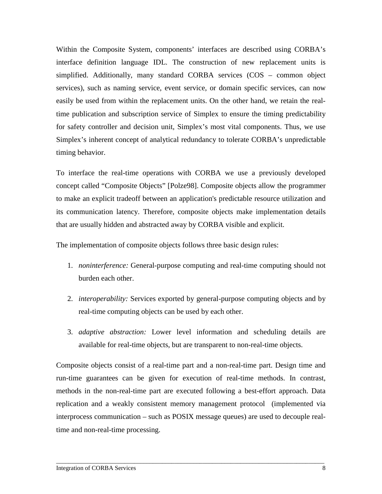Within the Composite System, components' interfaces are described using CORBA's interface definition language IDL. The construction of new replacement units is simplified. Additionally, many standard CORBA services (COS – common object services), such as naming service, event service, or domain specific services, can now easily be used from within the replacement units. On the other hand, we retain the realtime publication and subscription service of Simplex to ensure the timing predictability for safety controller and decision unit, Simplex's most vital components. Thus, we use Simplex's inherent concept of analytical redundancy to tolerate CORBA's unpredictable timing behavior.

To interface the real-time operations with CORBA we use a previously developed concept called "Composite Objects" [Polze98]. Composite objects allow the programmer to make an explicit tradeoff between an application's predictable resource utilization and its communication latency. Therefore, composite objects make implementation details that are usually hidden and abstracted away by CORBA visible and explicit.

The implementation of composite objects follows three basic design rules:

- 1. *noninterference:* General-purpose computing and real-time computing should not burden each other.
- 2. *interoperability:* Services exported by general-purpose computing objects and by real-time computing objects can be used by each other.
- 3. *adaptive abstraction:* Lower level information and scheduling details are available for real-time objects, but are transparent to non-real-time objects.

Composite objects consist of a real-time part and a non-real-time part. Design time and run-time guarantees can be given for execution of real-time methods. In contrast, methods in the non-real-time part are executed following a best-effort approach. Data replication and a weakly consistent memory management protocol (implemented via interprocess communication – such as POSIX message queues) are used to decouple realtime and non-real-time processing.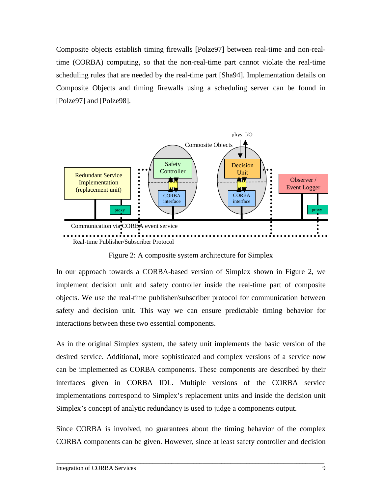<span id="page-8-0"></span>Composite objects establish timing firewalls [Polze97] between real-time and non-realtime (CORBA) computing, so that the non-real-time part cannot violate the real-time scheduling rules that are needed by the real-time part [Sha94]. Implementation details on Composite Objects and timing firewalls using a scheduling server can be found in [\[Polze97\]](#page-16-0) and [\[Polze98\].](#page-17-0)



Figure 2: A composite system architecture for Simplex

In our approach towards a CORBA-based version of Simplex shown in Figure 2, we implement decision unit and safety controller inside the real-time part of composite objects. We use the real-time publisher/subscriber protocol for communication between safety and decision unit. This way we can ensure predictable timing behavior for interactions between these two essential components.

As in the original Simplex system, the safety unit implements the basic version of the desired service. Additional, more sophisticated and complex versions of a service now can be implemented as CORBA components. These components are described by their interfaces given in CORBA IDL. Multiple versions of the CORBA service implementations correspond to Simplex's replacement units and inside the decision unit Simplex's concept of analytic redundancy is used to judge a components output.

Since CORBA is involved, no guarantees about the timing behavior of the complex CORBA components can be given. However, since at least safety controller and decision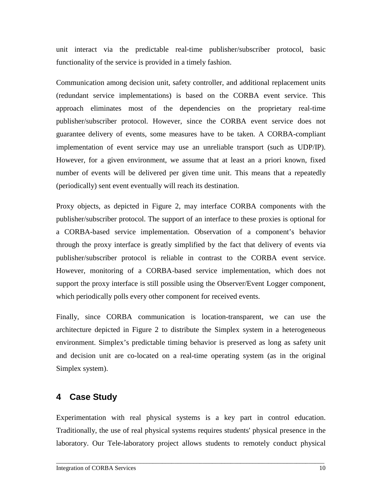<span id="page-9-0"></span>unit interact via the predictable real-time publisher/subscriber protocol, basic functionality of the service is provided in a timely fashion.

Communication among decision unit, safety controller, and additional replacement units (redundant service implementations) is based on the CORBA event service. This approach eliminates most of the dependencies on the proprietary real-time publisher/subscriber protocol. However, since the CORBA event service does not guarantee delivery of events, some measures have to be taken. A CORBA-compliant implementation of event service may use an unreliable transport (such as UDP/IP). However, for a given environment, we assume that at least an a priori known, fixed number of events will be delivered per given time unit. This means that a repeatedly (periodically) sent event eventually will reach its destination.

Proxy objects, as depicted in Figure 2, may interface CORBA components with the publisher/subscriber protocol. The support of an interface to these proxies is optional for a CORBA-based service implementation. Observation of a component's behavior through the proxy interface is greatly simplified by the fact that delivery of events via publisher/subscriber protocol is reliable in contrast to the CORBA event service. However, monitoring of a CORBA-based service implementation, which does not support the proxy interface is still possible using the Observer/Event Logger component, which periodically polls every other component for received events.

Finally, since CORBA communication is location-transparent, we can use the architecture depicted in [Figure 2](#page-8-0) to distribute the Simplex system in a heterogeneous environment. Simplex's predictable timing behavior is preserved as long as safety unit and decision unit are co-located on a real-time operating system (as in the original Simplex system).

# **4 Case Study**

Experimentation with real physical systems is a key part in control education. Traditionally, the use of real physical systems requires students' physical presence in the laboratory. Our Tele-laboratory project allows students to remotely conduct physical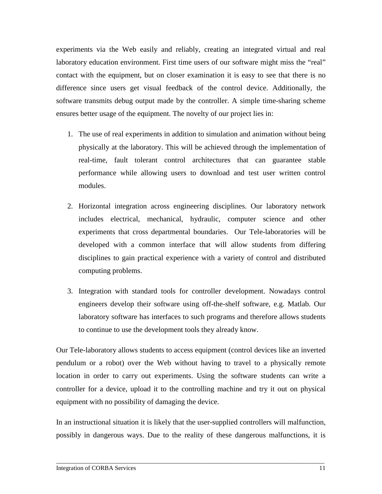experiments via the Web easily and reliably, creating an integrated virtual and real laboratory education environment. First time users of our software might miss the "real" contact with the equipment, but on closer examination it is easy to see that there is no difference since users get visual feedback of the control device. Additionally, the software transmits debug output made by the controller. A simple time-sharing scheme ensures better usage of the equipment. The novelty of our project lies in:

- 1. The use of real experiments in addition to simulation and animation without being physically at the laboratory. This will be achieved through the implementation of real-time, fault tolerant control architectures that can guarantee stable performance while allowing users to download and test user written control modules.
- 2. Horizontal integration across engineering disciplines. Our laboratory network includes electrical, mechanical, hydraulic, computer science and other experiments that cross departmental boundaries. Our Tele-laboratories will be developed with a common interface that will allow students from differing disciplines to gain practical experience with a variety of control and distributed computing problems.
- 3. Integration with standard tools for controller development. Nowadays control engineers develop their software using off-the-shelf software, e.g. Matlab. Our laboratory software has interfaces to such programs and therefore allows students to continue to use the development tools they already know.

Our Tele-laboratory allows students to access equipment (control devices like an inverted pendulum or a robot) over the Web without having to travel to a physically remote location in order to carry out experiments. Using the software students can write a controller for a device, upload it to the controlling machine and try it out on physical equipment with no possibility of damaging the device.

In an instructional situation it is likely that the user-supplied controllers will malfunction, possibly in dangerous ways. Due to the reality of these dangerous malfunctions, it is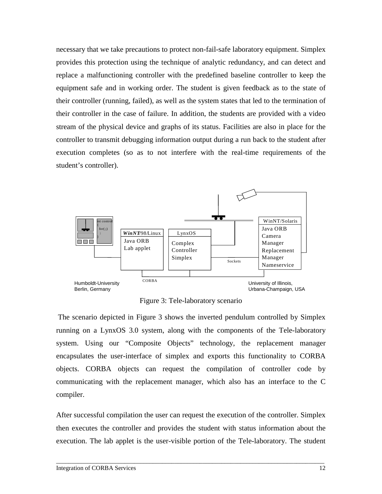necessary that we take precautions to protect non-fail-safe laboratory equipment. Simplex provides this protection using the technique of analytic redundancy, and can detect and replace a malfunctioning controller with the predefined baseline controller to keep the equipment safe and in working order. The student is given feedback as to the state of their controller (running, failed), as well as the system states that led to the termination of their controller in the case of failure. In addition, the students are provided with a video stream of the physical device and graphs of its status. Facilities are also in place for the controller to transmit debugging information output during a run back to the student after execution completes (so as to not interfere with the real-time requirements of the student's controller).



Figure 3: Tele-laboratory scenario

 The scenario depicted in Figure 3 shows the inverted pendulum controlled by Simplex running on a LynxOS 3.0 system, along with the components of the Tele-laboratory system. Using our "Composite Objects" technology, the replacement manager encapsulates the user-interface of simplex and exports this functionality to CORBA objects. CORBA objects can request the compilation of controller code by communicating with the replacement manager, which also has an interface to the C compiler.

After successful compilation the user can request the execution of the controller. Simplex then executes the controller and provides the student with status information about the execution. The lab applet is the user-visible portion of the Tele-laboratory. The student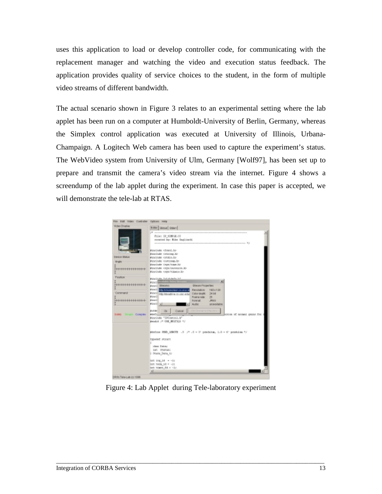uses this application to load or develop controller code, for communicating with the replacement manager and watching the video and execution status feedback. The application provides quality of service choices to the student, in the form of multiple video streams of different bandwidth.

The actual scenario shown in Figure 3 relates to an experimental setting where the lab applet has been run on a computer at Humboldt-University of Berlin, Germany, whereas the Simplex control application was executed at University of Illinois, Urbana-Champaign. A Logitech Web camera has been used to capture the experiment's status. The WebVideo system from University of Ulm, Germany [\[Wolf97\],](#page-18-0) has been set up to prepare and transmit the camera's video stream via the internet. Figure 4 shows a screendump of the lab applet during the experiment. In case this paper is accepted, we will demonstrate the tele-lab at RTAS.

| Moles Display                  | Boller   Shout   Stder1                                                                  |
|--------------------------------|------------------------------------------------------------------------------------------|
|                                |                                                                                          |
|                                | <b>AR</b>                                                                                |
|                                | Pile: IP SIMILAY                                                                         |
|                                | meased by: Rike Dagliards.                                                               |
|                                | $-81$                                                                                    |
|                                | Ringlade cireti.bp                                                                       |
|                                | <b>BaseDude Cetating.30</b>                                                              |
| Desice Status                  |                                                                                          |
|                                | <b>KINCING GIOLLEP</b><br>Ringlude corresum.by                                           |
| <b><i><u>ikrale</u></i></b>    | Bine Jude Ceya (Visae Jür                                                                |
|                                | изысным служгенным до-                                                                   |
| <del>.</del>                   | Ringiude crystitissen in-                                                                |
|                                |                                                                                          |
| Paulton                        | King Jude, Sid shikers, In-                                                              |
|                                | ×<br><b>Ring Ill</b>                                                                     |
| ,,,,,,,,,,,,,,                 | Stream Properties<br><b>Pine 1 STRANE</b>                                                |
|                                | <b>Wanes I</b><br><b>RAILBAROK</b><br>180x130<br>in the fit permit density is at suit on |
| Command                        | Color death: 34 bit                                                                      |
|                                | Kincil Hay Ideading could edi-<br>Wine I<br>Frame rate:<br>28                            |
| <b>++++++++++++</b>            | Wanes 3<br>Forenat:<br><b>JPEO</b>                                                       |
|                                | <b>FEIGHT all</b><br>Audie:<br>am ovalitatore                                            |
|                                |                                                                                          |
|                                | Out Jacobal ity Pike one<br><b>Waller</b><br><b>Cancel</b><br><b>Ok</b>                  |
| <b>Safety</b> Shright Complete | <b>WONCE</b><br>CE108 OC MIXES! UNLES TOO                                                |
|                                | Rinclude "IPContral.N"                                                                   |
|                                | Wender J* USE MILTION */                                                                 |
|                                |                                                                                          |
|                                |                                                                                          |
|                                | Merkine HSD_1890TK .5 /* .5 = 1/ pendalum, 1.0 = 6' pendalum */                          |
|                                |                                                                                          |
|                                | typedad struct.                                                                          |
|                                |                                                                                          |
|                                | class Datas                                                                              |
|                                | INC STATISLI                                                                             |
|                                | 5 Stens Date to                                                                          |
|                                | LE- = \$1 pot 3a1                                                                        |
|                                | tex vers 50 = -11                                                                        |
|                                | ant times dd = -ir                                                                       |
|                                |                                                                                          |

Figure 4: Lab Applet during Tele-laboratory experiment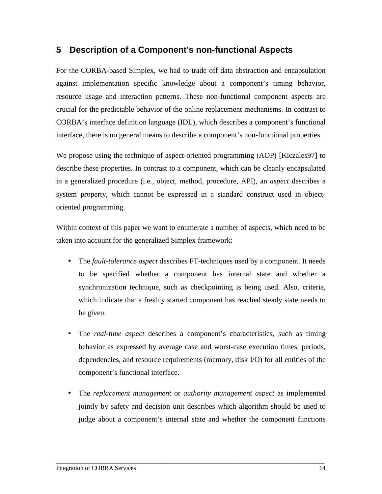### **5 Description of a Component's non-functional Aspects**

For the CORBA-based Simplex, we had to trade off data abstraction and encapsulation against implementation specific knowledge about a component's timing behavior, resource usage and interaction patterns. These non-functional component aspects are crucial for the predictable behavior of the online replacement mechanisms. In contrast to CORBA's interface definition language (IDL), which describes a component's functional interface, there is no general means to describe a component's non-functional properties.

We propose using the technique of aspect-oriented programming (AOP) [Kiczales97] to describe these properties. In contrast to a component, which can be cleanly encapsulated in a generalized procedure (i.e., object, method, procedure, API), an *aspect* describes a system property, which cannot be expressed in a standard construct used in objectoriented programming.

Within context of this paper we want to enumerate a number of aspects, which need to be taken into account for the generalized Simplex framework:

- The *fault-tolerance aspect* describes FT-techniques used by a component. It needs to be specified whether a component has internal state and whether a synchronization technique, such as checkpointing is being used. Also, criteria, which indicate that a freshly started component has reached steady state needs to be given.
- The *real-time aspect* describes a component's characteristics, such as timing behavior as expressed by average case and worst-case execution times, periods, dependencies, and resource requirements (memory, disk I/O) for all entities of the component's functional interface.
- The *replacement management* or *authority management aspect* as implemented jointly by safety and decision unit describes which algorithm should be used to judge about a component's internal state and whether the component functions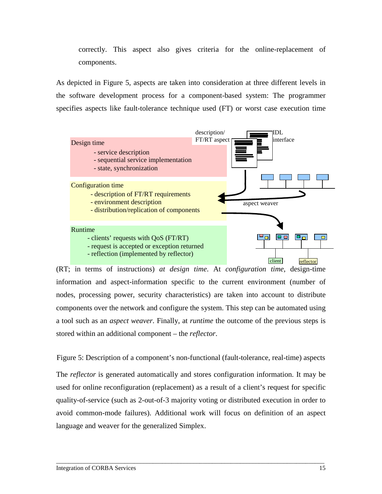correctly. This aspect also gives criteria for the online-replacement of components.

As depicted in Figure 5, aspects are taken into consideration at three different levels in the software development process for a component-based system: The programmer specifies aspects like fault-tolerance technique used (FT) or worst case execution time



(RT; in terms of instructions) *at design time*. At *configuration time*, design-time information and aspect-information specific to the current environment (number of nodes, processing power, security characteristics) are taken into account to distribute components over the network and configure the system. This step can be automated using a tool such as an *aspect weaver*. Finally, at *runtime* the outcome of the previous steps is stored within an additional component – the *reflector*.

Figure 5: Description of a component's non-functional (fault-tolerance, real-time) aspects The *reflector* is generated automatically and stores configuration information. It may be used for online reconfiguration (replacement) as a result of a client's request for specific quality-of-service (such as 2-out-of-3 majority voting or distributed execution in order to avoid common-mode failures). Additional work will focus on definition of an aspect language and weaver for the generalized Simplex.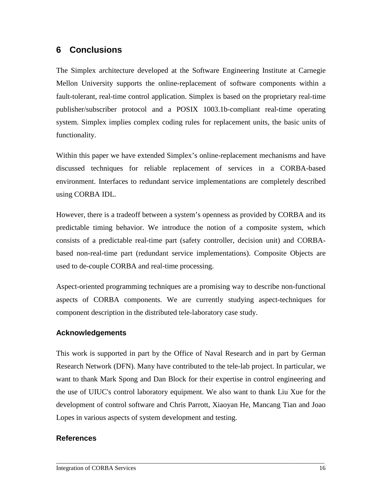## **6 Conclusions**

The Simplex architecture developed at the Software Engineering Institute at Carnegie Mellon University supports the online-replacement of software components within a fault-tolerant, real-time control application. Simplex is based on the proprietary real-time publisher/subscriber protocol and a POSIX 1003.1b-compliant real-time operating system. Simplex implies complex coding rules for replacement units, the basic units of functionality.

Within this paper we have extended Simplex's online-replacement mechanisms and have discussed techniques for reliable replacement of services in a CORBA-based environment. Interfaces to redundant service implementations are completely described using CORBA IDL.

However, there is a tradeoff between a system's openness as provided by CORBA and its predictable timing behavior. We introduce the notion of a composite system, which consists of a predictable real-time part (safety controller, decision unit) and CORBAbased non-real-time part (redundant service implementations). Composite Objects are used to de-couple CORBA and real-time processing.

Aspect-oriented programming techniques are a promising way to describe non-functional aspects of CORBA components. We are currently studying aspect-techniques for component description in the distributed tele-laboratory case study.

#### **Acknowledgements**

This work is supported in part by the Office of Naval Research and in part by German Research Network (DFN). Many have contributed to the tele-lab project. In particular, we want to thank Mark Spong and Dan Block for their expertise in control engineering and the use of UIUC's control laboratory equipment. We also want to thank Liu Xue for the development of control software and Chris Parrott, Xiaoyan He, Mancang Tian and Joao Lopes in various aspects of system development and testing.

\_\_\_\_\_\_\_\_\_\_\_\_\_\_\_\_\_\_\_\_\_\_\_\_\_\_\_\_\_\_\_\_\_\_\_\_\_\_\_\_\_\_\_\_\_\_\_\_\_\_\_\_\_\_\_\_\_\_\_\_\_\_\_\_\_\_\_\_\_\_\_\_\_\_\_\_\_\_\_\_\_\_\_\_\_\_

#### **References**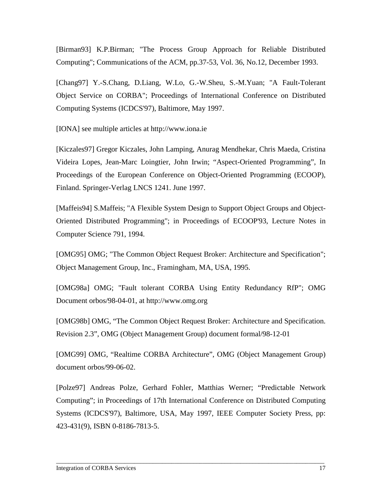<span id="page-16-0"></span>[Birman93] K.P.Birman; "The Process Group Approach for Reliable Distributed Computing"; Communications of the ACM, pp.37-53, Vol. 36, No.12, December 1993.

[Chang97] Y.-S.Chang, D.Liang, W.Lo, G.-W.Sheu, S.-M.Yuan; "A Fault-Tolerant Object Service on CORBA"; Proceedings of International Conference on Distributed Computing Systems (ICDCS'97), Baltimore, May 1997.

[IONA] see multiple articles at http://www.iona.ie

[Kiczales97] Gregor Kiczales, John Lamping, Anurag Mendhekar, Chris Maeda, Cristina Videira Lopes, Jean-Marc Loingtier, John Irwin; "Aspect-Oriented Programming", In Proceedings of the European Conference on Object-Oriented Programming (ECOOP)*,* Finland. Springer-Verlag LNCS 1241. June 1997.

[Maffeis94] S.Maffeis; "A Flexible System Design to Support Object Groups and Object-Oriented Distributed Programming"; in Proceedings of ECOOP'93, Lecture Notes in Computer Science 791, 1994.

[OMG95] OMG; "The Common Object Request Broker: Architecture and Specification"; Object Management Group, Inc., Framingham, MA, USA, 1995.

[OMG98a] OMG; "Fault tolerant CORBA Using Entity Redundancy RfP"; OMG Document orbos/98-04-01, at http://www.omg.org

[OMG98b] OMG, "The Common Object Request Broker: Architecture and Specification. Revision 2.3", OMG (Object Management Group) document formal/98-12-01

[OMG99] OMG, "Realtime CORBA Architecture", OMG (Object Management Group) document orbos/99-06-02.

[Polze97] Andreas Polze, Gerhard Fohler, Matthias Werner; "Predictable Network Computing"; in Proceedings of 17th International Conference on Distributed Computing Systems (ICDCS'97), Baltimore, USA, May 1997, IEEE Computer Society Press, pp: 423-431(9), ISBN 0-8186-7813-5.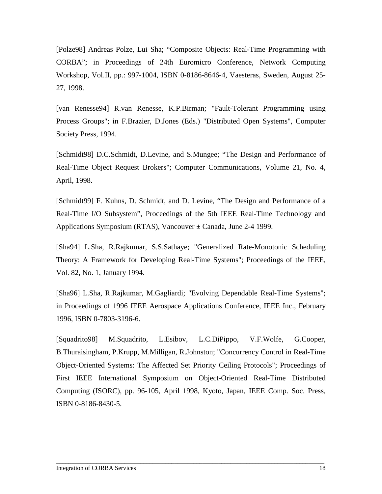<span id="page-17-0"></span>[Polze98] Andreas Polze, Lui Sha; "Composite Objects: Real-Time Programming with CORBA"; in Proceedings of 24th Euromicro Conference, Network Computing Workshop, Vol.II, pp.: 997-1004, ISBN 0-8186-8646-4, Vaesteras, Sweden, August 25- 27, 1998.

[van Renesse94] R.van Renesse, K.P.Birman; "Fault-Tolerant Programming using Process Groups"; in F.Brazier, D.Jones (Eds.) "Distributed Open Systems", Computer Society Press, 1994.

[Schmidt98] D.C.Schmidt, D.Levine, and S.Mungee; "The Design and Performance of Real-Time Object Request Brokers"; Computer Communications, Volume 21, No. 4, April, 1998.

[Schmidt99] F. Kuhns, D. Schmidt, and D. Levine, "The Design and Performance of a Real-Time I/O Subsystem", Proceedings of the 5th IEEE Real-Time Technology and Applications Symposium (RTAS), Vancouver  $\pm$  Canada, June 2-4 1999.

[Sha94] L.Sha, R.Rajkumar, S.S.Sathaye; "Generalized Rate-Monotonic Scheduling Theory: A Framework for Developing Real-Time Systems"; Proceedings of the IEEE, Vol. 82, No. 1, January 1994.

[Sha96] L.Sha, R.Rajkumar, M.Gagliardi; "Evolving Dependable Real-Time Systems"; in Proceedings of 1996 IEEE Aerospace Applications Conference, IEEE Inc., February 1996, ISBN 0-7803-3196-6.

[Squadrito98] M.Squadrito, L.Esibov, L.C.DiPippo, V.F.Wolfe, G.Cooper, B.Thuraisingham, P.Krupp, M.Milligan, R.Johnston; "Concurrency Control in Real-Time Object-Oriented Systems: The Affected Set Priority Ceiling Protocols"; Proceedings of First IEEE International Symposium on Object-Oriented Real-Time Distributed Computing (ISORC), pp. 96-105, April 1998, Kyoto, Japan, IEEE Comp. Soc. Press, ISBN 0-8186-8430-5.